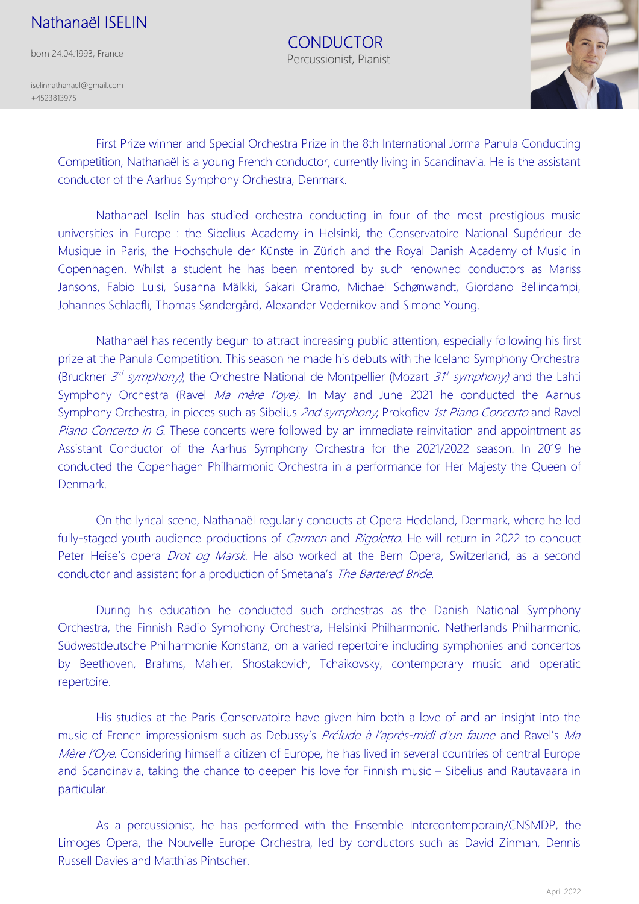## Nathanaël ISELIN

born 24.04.1993, France

iselinnathanael@gmail.com +4523813975

> First Prize winner and Special Orchestra Prize in the 8th International Jorma Panula Conducting Competition, Nathanaël is a young French conductor, currently living in Scandinavia. He is the assistant conductor of the Aarhus Symphony Orchestra, Denmark.

 CONDUCTOR Percussionist, Pianist

Nathanaël Iselin has studied orchestra conducting in four of the most prestigious music universities in Europe : the Sibelius Academy in Helsinki, the Conservatoire National Supérieur de Musique in Paris, the Hochschule der Künste in Zürich and the Royal Danish Academy of Music in Copenhagen. Whilst a student he has been mentored by such renowned conductors as Mariss Jansons, Fabio Luisi, Susanna Mälkki, Sakari Oramo, Michael Schønwandt, Giordano Bellincampi, Johannes Schlaefli, Thomas Søndergård, Alexander Vedernikov and Simone Young.

Nathanaël has recently begun to attract increasing public attention, especially following his first prize at the Panula Competition. This season he made his debuts with the Iceland Symphony Orchestra (Bruckner  $3<sup>d</sup>$  symphony), the Orchestre National de Montpellier (Mozart  $3<sup>pt</sup>$  symphony) and the Lahti Symphony Orchestra (Ravel Ma mère l'oye). In May and June 2021 he conducted the Aarhus Symphony Orchestra, in pieces such as Sibelius 2nd symphony, Prokofiev 1st Piano Concerto and Ravel Piano Concerto in G. These concerts were followed by an immediate reinvitation and appointment as Assistant Conductor of the Aarhus Symphony Orchestra for the 2021/2022 season. In 2019 he conducted the Copenhagen Philharmonic Orchestra in a performance for Her Majesty the Queen of Denmark.

On the lyrical scene, Nathanaël regularly conducts at Opera Hedeland, Denmark, where he led fully-staged youth audience productions of *Carmen* and *Rigoletto*. He will return in 2022 to conduct Peter Heise's opera *Drot og Marsk*. He also worked at the Bern Opera, Switzerland, as a second conductor and assistant for a production of Smetana's The Bartered Bride.

During his education he conducted such orchestras as the Danish National Symphony Orchestra, the Finnish Radio Symphony Orchestra, Helsinki Philharmonic, Netherlands Philharmonic, Südwestdeutsche Philharmonie Konstanz, on a varied repertoire including symphonies and concertos by Beethoven, Brahms, Mahler, Shostakovich, Tchaikovsky, contemporary music and operatic repertoire.

His studies at the Paris Conservatoire have given him both a love of and an insight into the music of French impressionism such as Debussy's Prélude à l'après-midi d'un faune and Ravel's Ma Mère l'Oye. Considering himself a citizen of Europe, he has lived in several countries of central Europe and Scandinavia, taking the chance to deepen his love for Finnish music – Sibelius and Rautavaara in particular.

As a percussionist, he has performed with the Ensemble Intercontemporain/CNSMDP, the Limoges Opera, the Nouvelle Europe Orchestra, led by conductors such as David Zinman, Dennis Russell Davies and Matthias Pintscher.